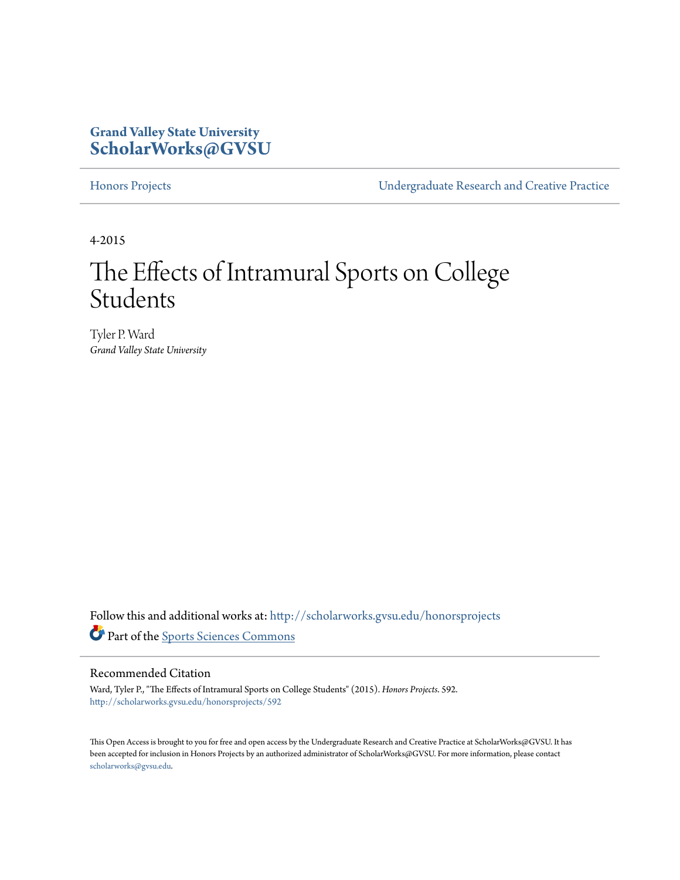### **Grand Valley State University [ScholarWorks@GVSU](http://scholarworks.gvsu.edu?utm_source=scholarworks.gvsu.edu%2Fhonorsprojects%2F592&utm_medium=PDF&utm_campaign=PDFCoverPages)**

[Honors Projects](http://scholarworks.gvsu.edu/honorsprojects?utm_source=scholarworks.gvsu.edu%2Fhonorsprojects%2F592&utm_medium=PDF&utm_campaign=PDFCoverPages) [Undergraduate Research and Creative Practice](http://scholarworks.gvsu.edu/urcp?utm_source=scholarworks.gvsu.edu%2Fhonorsprojects%2F592&utm_medium=PDF&utm_campaign=PDFCoverPages)

4-2015

## The Effects of Intramural Sports on College Students

Tyler P. Ward *Grand Valley State University*

Follow this and additional works at: [http://scholarworks.gvsu.edu/honorsprojects](http://scholarworks.gvsu.edu/honorsprojects?utm_source=scholarworks.gvsu.edu%2Fhonorsprojects%2F592&utm_medium=PDF&utm_campaign=PDFCoverPages) Part of the [Sports Sciences Commons](http://network.bepress.com/hgg/discipline/759?utm_source=scholarworks.gvsu.edu%2Fhonorsprojects%2F592&utm_medium=PDF&utm_campaign=PDFCoverPages)

#### Recommended Citation

Ward, Tyler P., "The Effects of Intramural Sports on College Students" (2015). *Honors Projects*. 592. [http://scholarworks.gvsu.edu/honorsprojects/592](http://scholarworks.gvsu.edu/honorsprojects/592?utm_source=scholarworks.gvsu.edu%2Fhonorsprojects%2F592&utm_medium=PDF&utm_campaign=PDFCoverPages)

This Open Access is brought to you for free and open access by the Undergraduate Research and Creative Practice at ScholarWorks@GVSU. It has been accepted for inclusion in Honors Projects by an authorized administrator of ScholarWorks@GVSU. For more information, please contact [scholarworks@gvsu.edu](mailto:scholarworks@gvsu.edu).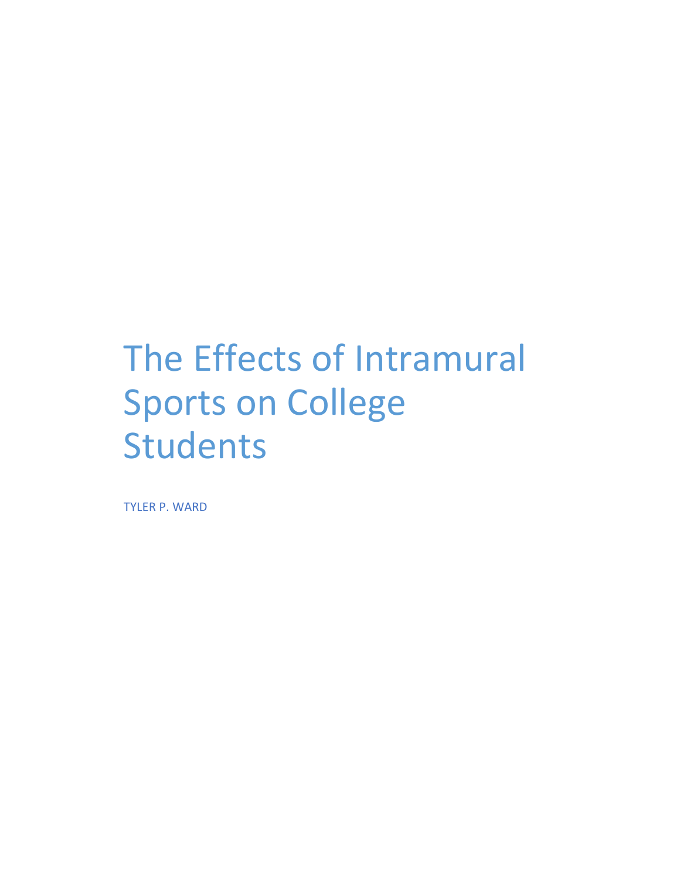TYLER P. WARD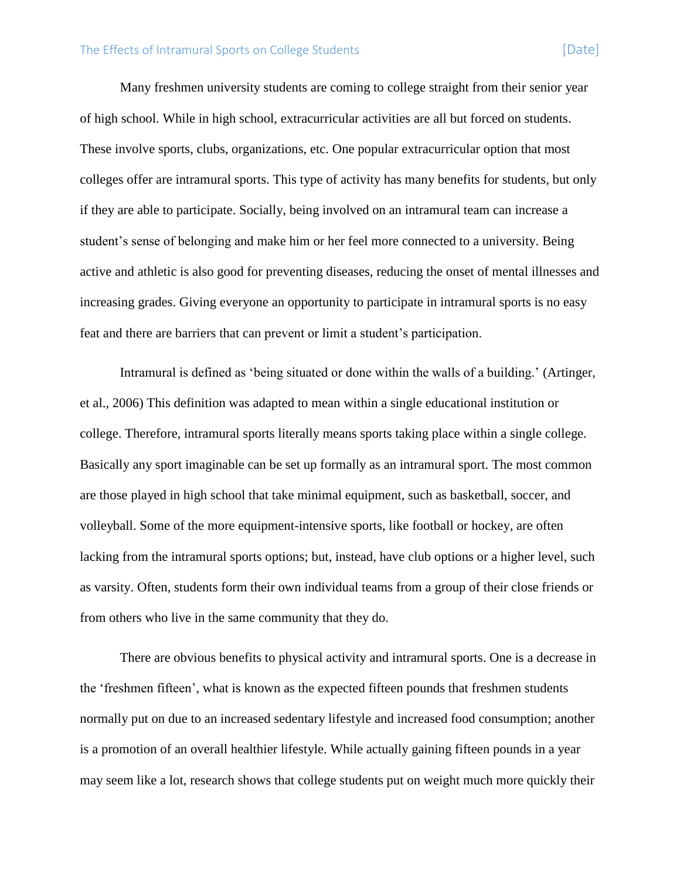Many freshmen university students are coming to college straight from their senior year of high school. While in high school, extracurricular activities are all but forced on students. These involve sports, clubs, organizations, etc. One popular extracurricular option that most colleges offer are intramural sports. This type of activity has many benefits for students, but only if they are able to participate. Socially, being involved on an intramural team can increase a student's sense of belonging and make him or her feel more connected to a university. Being active and athletic is also good for preventing diseases, reducing the onset of mental illnesses and increasing grades. Giving everyone an opportunity to participate in intramural sports is no easy feat and there are barriers that can prevent or limit a student's participation.

Intramural is defined as 'being situated or done within the walls of a building.' (Artinger, et al., 2006) This definition was adapted to mean within a single educational institution or college. Therefore, intramural sports literally means sports taking place within a single college. Basically any sport imaginable can be set up formally as an intramural sport. The most common are those played in high school that take minimal equipment, such as basketball, soccer, and volleyball. Some of the more equipment-intensive sports, like football or hockey, are often lacking from the intramural sports options; but, instead, have club options or a higher level, such as varsity. Often, students form their own individual teams from a group of their close friends or from others who live in the same community that they do.

There are obvious benefits to physical activity and intramural sports. One is a decrease in the 'freshmen fifteen', what is known as the expected fifteen pounds that freshmen students normally put on due to an increased sedentary lifestyle and increased food consumption; another is a promotion of an overall healthier lifestyle. While actually gaining fifteen pounds in a year may seem like a lot, research shows that college students put on weight much more quickly their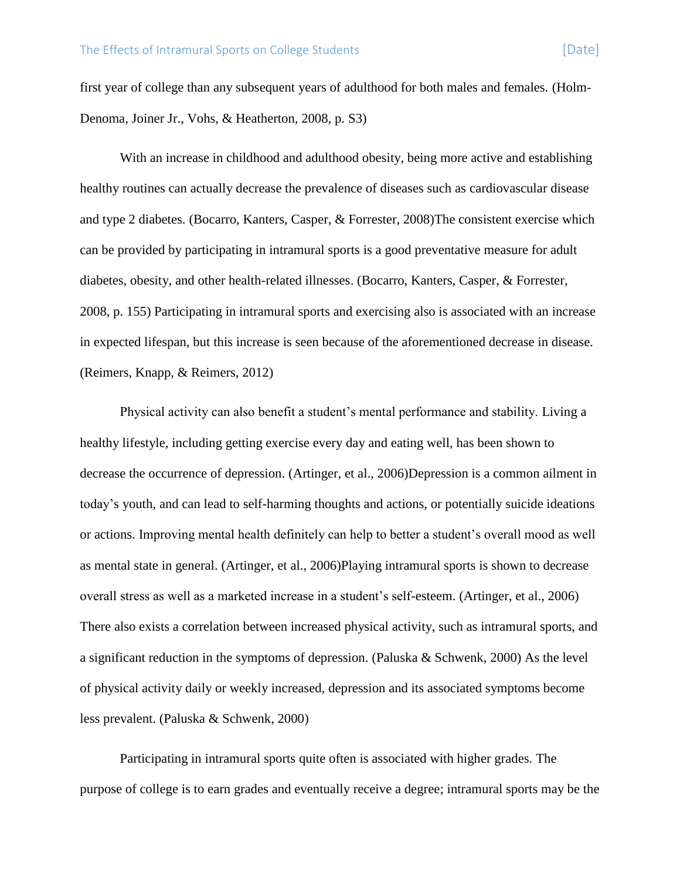first year of college than any subsequent years of adulthood for both males and females. (Holm-Denoma, Joiner Jr., Vohs, & Heatherton, 2008, p. S3)

With an increase in childhood and adulthood obesity, being more active and establishing healthy routines can actually decrease the prevalence of diseases such as cardiovascular disease and type 2 diabetes. (Bocarro, Kanters, Casper, & Forrester, 2008)The consistent exercise which can be provided by participating in intramural sports is a good preventative measure for adult diabetes, obesity, and other health-related illnesses. (Bocarro, Kanters, Casper, & Forrester, 2008, p. 155) Participating in intramural sports and exercising also is associated with an increase in expected lifespan, but this increase is seen because of the aforementioned decrease in disease. (Reimers, Knapp, & Reimers, 2012)

Physical activity can also benefit a student's mental performance and stability. Living a healthy lifestyle, including getting exercise every day and eating well, has been shown to decrease the occurrence of depression. (Artinger, et al., 2006)Depression is a common ailment in today's youth, and can lead to self-harming thoughts and actions, or potentially suicide ideations or actions. Improving mental health definitely can help to better a student's overall mood as well as mental state in general. (Artinger, et al., 2006)Playing intramural sports is shown to decrease overall stress as well as a marketed increase in a student's self-esteem. (Artinger, et al., 2006) There also exists a correlation between increased physical activity, such as intramural sports, and a significant reduction in the symptoms of depression. (Paluska & Schwenk, 2000) As the level of physical activity daily or weekly increased, depression and its associated symptoms become less prevalent. (Paluska & Schwenk, 2000)

Participating in intramural sports quite often is associated with higher grades. The purpose of college is to earn grades and eventually receive a degree; intramural sports may be the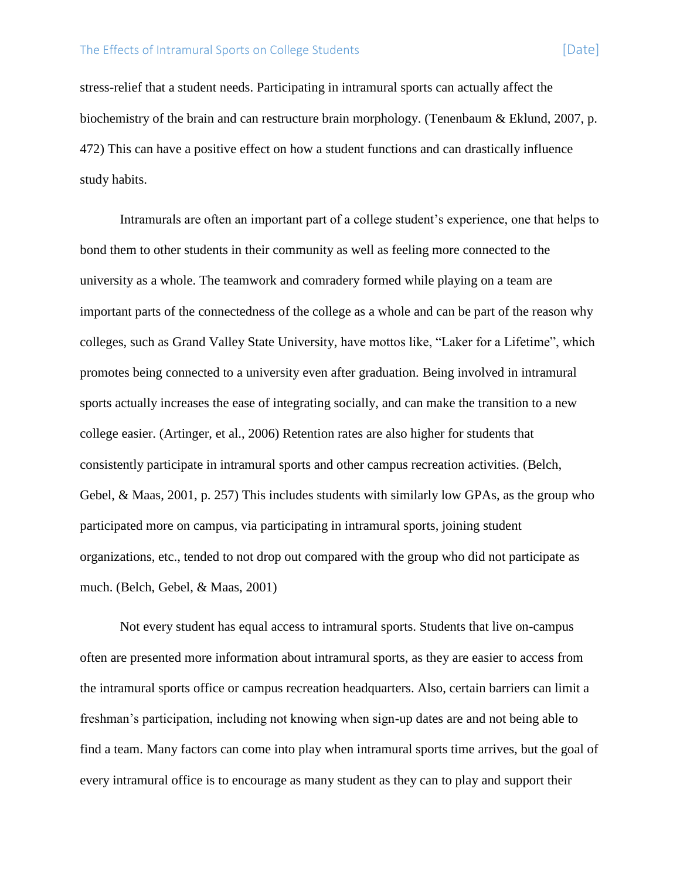stress-relief that a student needs. Participating in intramural sports can actually affect the biochemistry of the brain and can restructure brain morphology. (Tenenbaum & Eklund, 2007, p. 472) This can have a positive effect on how a student functions and can drastically influence study habits.

Intramurals are often an important part of a college student's experience, one that helps to bond them to other students in their community as well as feeling more connected to the university as a whole. The teamwork and comradery formed while playing on a team are important parts of the connectedness of the college as a whole and can be part of the reason why colleges, such as Grand Valley State University, have mottos like, "Laker for a Lifetime", which promotes being connected to a university even after graduation. Being involved in intramural sports actually increases the ease of integrating socially, and can make the transition to a new college easier. (Artinger, et al., 2006) Retention rates are also higher for students that consistently participate in intramural sports and other campus recreation activities. (Belch, Gebel, & Maas, 2001, p. 257) This includes students with similarly low GPAs, as the group who participated more on campus, via participating in intramural sports, joining student organizations, etc., tended to not drop out compared with the group who did not participate as much. (Belch, Gebel, & Maas, 2001)

Not every student has equal access to intramural sports. Students that live on-campus often are presented more information about intramural sports, as they are easier to access from the intramural sports office or campus recreation headquarters. Also, certain barriers can limit a freshman's participation, including not knowing when sign-up dates are and not being able to find a team. Many factors can come into play when intramural sports time arrives, but the goal of every intramural office is to encourage as many student as they can to play and support their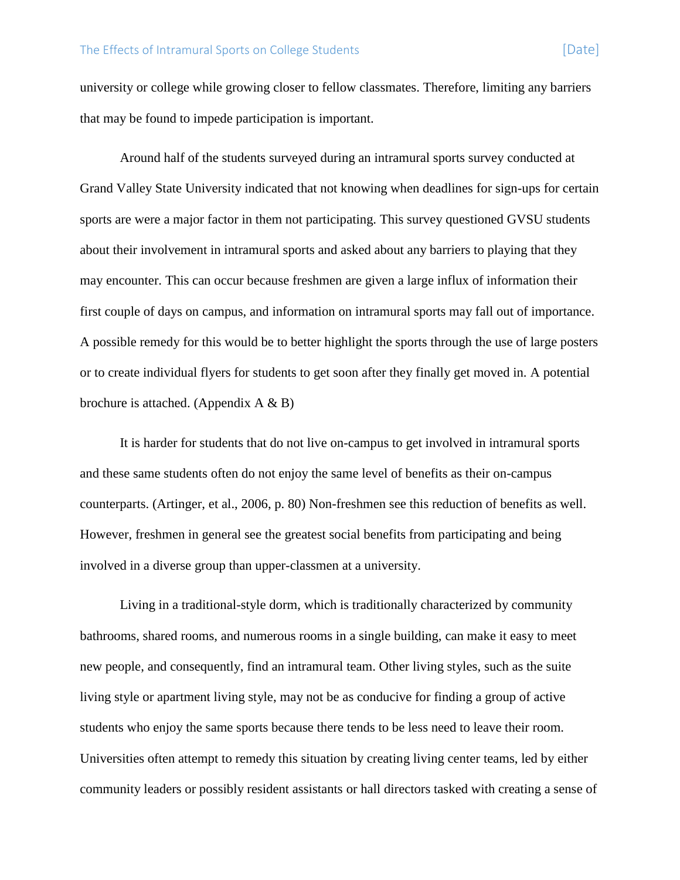university or college while growing closer to fellow classmates. Therefore, limiting any barriers that may be found to impede participation is important.

Around half of the students surveyed during an intramural sports survey conducted at Grand Valley State University indicated that not knowing when deadlines for sign-ups for certain sports are were a major factor in them not participating. This survey questioned GVSU students about their involvement in intramural sports and asked about any barriers to playing that they may encounter. This can occur because freshmen are given a large influx of information their first couple of days on campus, and information on intramural sports may fall out of importance. A possible remedy for this would be to better highlight the sports through the use of large posters or to create individual flyers for students to get soon after they finally get moved in. A potential brochure is attached. (Appendix A & B)

It is harder for students that do not live on-campus to get involved in intramural sports and these same students often do not enjoy the same level of benefits as their on-campus counterparts. (Artinger, et al., 2006, p. 80) Non-freshmen see this reduction of benefits as well. However, freshmen in general see the greatest social benefits from participating and being involved in a diverse group than upper-classmen at a university.

Living in a traditional-style dorm, which is traditionally characterized by community bathrooms, shared rooms, and numerous rooms in a single building, can make it easy to meet new people, and consequently, find an intramural team. Other living styles, such as the suite living style or apartment living style, may not be as conducive for finding a group of active students who enjoy the same sports because there tends to be less need to leave their room. Universities often attempt to remedy this situation by creating living center teams, led by either community leaders or possibly resident assistants or hall directors tasked with creating a sense of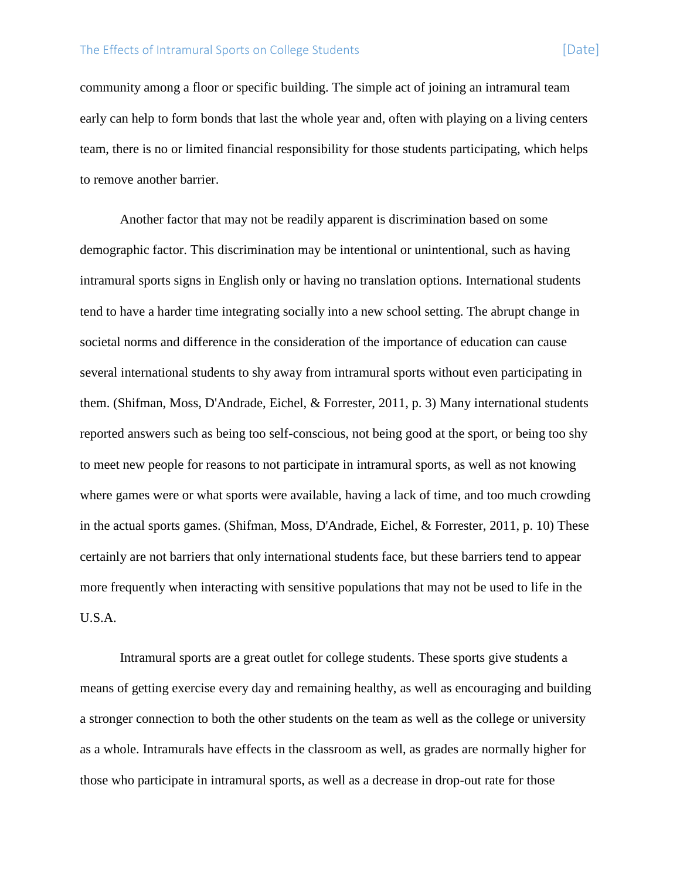community among a floor or specific building. The simple act of joining an intramural team early can help to form bonds that last the whole year and, often with playing on a living centers team, there is no or limited financial responsibility for those students participating, which helps to remove another barrier.

Another factor that may not be readily apparent is discrimination based on some demographic factor. This discrimination may be intentional or unintentional, such as having intramural sports signs in English only or having no translation options. International students tend to have a harder time integrating socially into a new school setting. The abrupt change in societal norms and difference in the consideration of the importance of education can cause several international students to shy away from intramural sports without even participating in them. (Shifman, Moss, D'Andrade, Eichel, & Forrester, 2011, p. 3) Many international students reported answers such as being too self-conscious, not being good at the sport, or being too shy to meet new people for reasons to not participate in intramural sports, as well as not knowing where games were or what sports were available, having a lack of time, and too much crowding in the actual sports games. (Shifman, Moss, D'Andrade, Eichel, & Forrester, 2011, p. 10) These certainly are not barriers that only international students face, but these barriers tend to appear more frequently when interacting with sensitive populations that may not be used to life in the U.S.A.

Intramural sports are a great outlet for college students. These sports give students a means of getting exercise every day and remaining healthy, as well as encouraging and building a stronger connection to both the other students on the team as well as the college or university as a whole. Intramurals have effects in the classroom as well, as grades are normally higher for those who participate in intramural sports, as well as a decrease in drop-out rate for those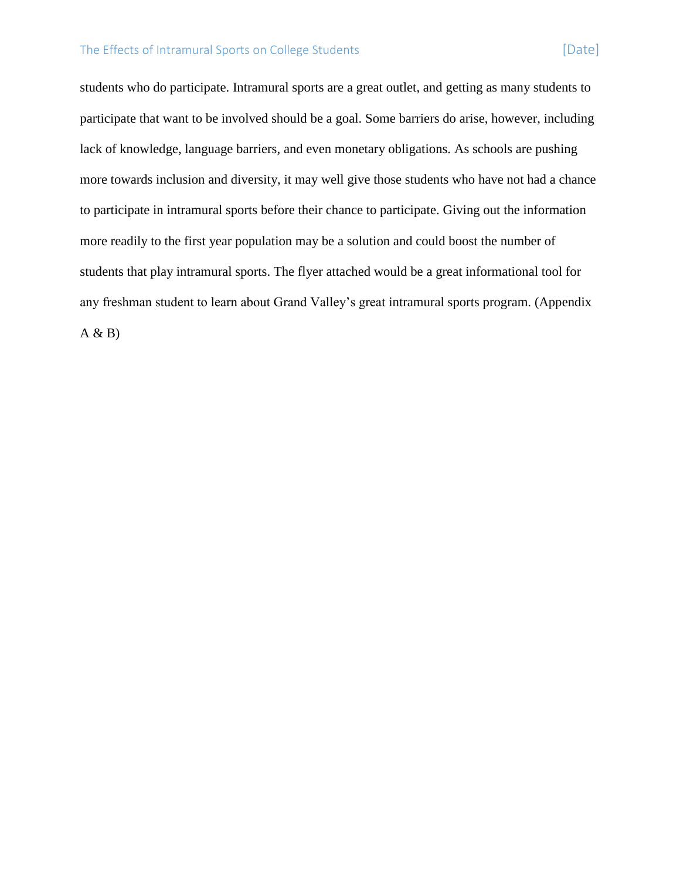students who do participate. Intramural sports are a great outlet, and getting as many students to participate that want to be involved should be a goal. Some barriers do arise, however, including lack of knowledge, language barriers, and even monetary obligations. As schools are pushing more towards inclusion and diversity, it may well give those students who have not had a chance to participate in intramural sports before their chance to participate. Giving out the information more readily to the first year population may be a solution and could boost the number of students that play intramural sports. The flyer attached would be a great informational tool for any freshman student to learn about Grand Valley's great intramural sports program. (Appendix  $A & B$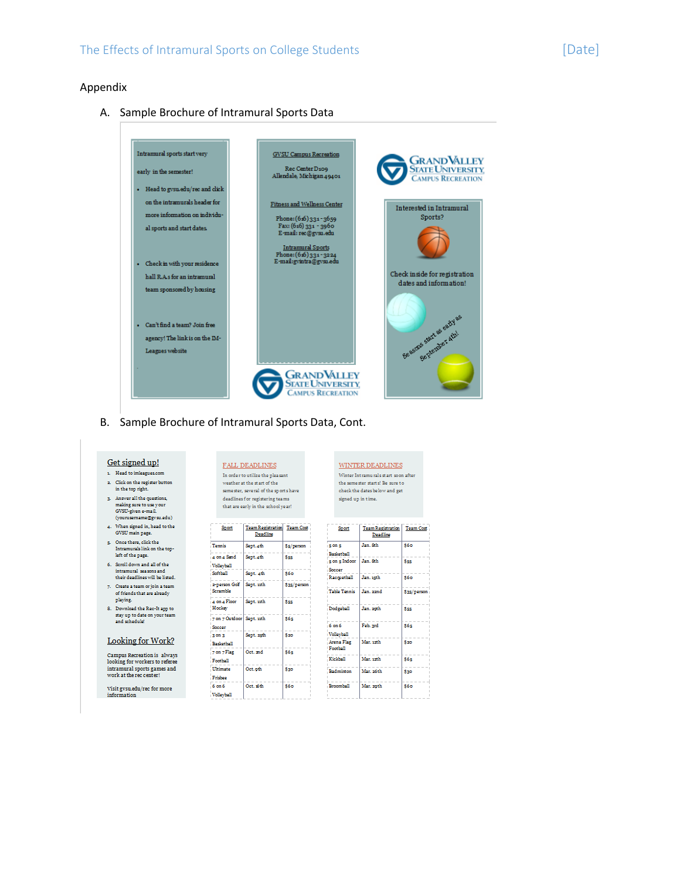#### Appendix

#### A. Sample Brochure of Intramural Sports Data



B. Sample Brochure of Intramural Sports Data, Cont.

#### Get signed up!

 $\mathbf{r}$  . Head to imleagues com 2. Click on the register button

- in the top right. <br>  $\,$
- 3. Answer all the questions,<br>making sure to use your<br>GVSU-given e-mail.<br>(yourusemame@gvsu.edu)
- 4. When signed in, head to the GVSU main page.
- ${\small \begin{tabular}{ll} $5$. & Once there, click the  
Intramurals link on the top-  
left of the page. \end{tabular} }$
- $\bar{6}$  . Seroll down and all of the

 $\begin{minipage}{.4\linewidth} \begin{tabular}{l} \bf{intramural} \textit{ seasons} \textit{and} \\ \bf{their deadlines} \textit{will be listed}. \end{tabular} \end{minipage}$ 

- $7. \quad \text{Create a team or join a team} \\ \quad \text{of friends that are already} \\ \quad$ playing.
- 8. Download the Rec-It app to stay up to date on your team<br>and schedule!

#### Looking for Work?

Campus Recreation is always<br>looking for workers to referee<br>intramural sports games and<br>work at the rec center!

 $\rm Visit$   $\rm gvsuedu/rec$  for more information

FALL DEADLINES In order to utilize the pleasant weather at the start of the seme ster, several of the sports have deadlines for registering teams that are early in the school year!

| Sport                               | Team Registration Team Cost<br>Deadline |             |
|-------------------------------------|-----------------------------------------|-------------|
| <b>Termis</b>                       | Sept. 4th                               | \$5/person  |
| 4 on 4 Smd<br>Volleyball            | Sept.4th                                | \$ss        |
| Softhall                            | Sept. 4th                               | <b>S60</b>  |
| 2-nerson Golf<br>Seramble           | Sept. 11th                              | \$35/person |
| a on a Floor<br>Hockey              | Sept. 11th                              | Sss.        |
| 7 on 7 Outdoor Sept. 11th<br>Serror |                                         | \$6≤        |
| $3$ on $3$<br><b>Backetball</b>     | Sept. 25th                              | \$20        |
| 7 on 7 Flag<br>Football             | Oct. and                                | <b>S65</b>  |
| <b>Ultimate</b><br>Fridage          | Oct. oth                                | \$30        |
| $6 \text{ cm} 6$<br>Volleyball      | Oct. 16th                               | <b>S60</b>  |

| the seme ster starts! Be sure to<br>check the dates below and get | WINTER DEADLINES<br>Winter Intramurals start soon after |
|-------------------------------------------------------------------|---------------------------------------------------------|
|                                                                   |                                                         |
|                                                                   |                                                         |
|                                                                   | signed up in time.                                      |

| Sport                  | Team Registration<br>Deadline | <b>Team Cost</b> |
|------------------------|-------------------------------|------------------|
| is on s                | Jan, Sth.                     | \$6o             |
| Backetball             |                               |                  |
| $s$ on $s$ Indoor      | Jan. Sth.                     | See              |
| Soccer                 |                               |                  |
| Racquetball            | Jan. 1sth.                    | <b>S60</b>       |
| Table Tennis           | Jan. 22nd                     | \$35/person      |
| Dodgeball              | Jan. 20th                     | <b>Sss</b>       |
| 6 on 6                 | Feb. ard                      | S6=              |
| Volleyball             |                               |                  |
| Arena Flag<br>Football | Mar. 12th                     | \$20             |
| Kieldoll               | Mar. 12th                     | 865              |
| Badminton              | Mar. 26th                     | \$30             |
| <b>Broomhall</b>       | Mar. 20th                     | <b>S60</b>       |